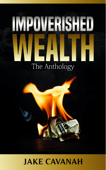# IMPOVERISHED The Anthology



## **JAKE CAVANAH**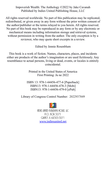Impoverish Wealth: The Anthology ©2022 by Jake Cavanah Published by Indies United Publishing House, LLC

All rights reserved worldwide. No part of this publication may be replicated, redistributed, or given away in any form without the prior written consent of the author/publisher or the terms relayed to you herein. All rights reserved. No part of this book may be reproduced in any form or by any electronic or mechanical means including information storage and retrieval systems, without permission in writing from the author. The only exception is by a reviewer, who may quote short excerpts in a review.

Edited by Jennie Rosenblum

This book is a work of fiction. Names, characters, places, and incidents either are products of the author's imagination or are used fictitiously. Any resemblance to actual persons, living or dead, events, or locales is entirely coincidental.

> Printed in the United States of America First Printing: Ju ne 2022

ISBN 13: 978-1-64456-477-6 [Paperback] ISBN13: 978-1-64456-478-3 [Mobi] ISBN13: 978-1-64456-479-0 [ePub]

Library of Congress Control Number: 2022937849



INDIES UNITED PUBLISHING HOUSE. LLC **P.O. BOX 3071** QUINCY. IL 62305-3071 [www.indiesunited.net](http://www.indiesunited.net/)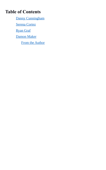### **Table of Contents**

[Danny Cunningham](#page-4-0)

<span id="page-2-2"></span>[Serena Cortez](#page-2-2)

<span id="page-2-1"></span>[Ryan Graf](#page-2-1)

[Damon Maker](#page-2-0)

<span id="page-2-0"></span>[From the Author](#page-8-0)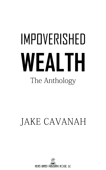## IMPOVERISHED WEALTH The Anthology

## **JAKE CAVANAH**

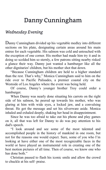## <span id="page-4-0"></span>Danny Cunningham

#### *Wednesday Evening*

Danny Cunningham divided up his vegetable medley into different sections on his plate, designating certain areas around his main entree for each vegetable. His salmon was cold and untouched with the exception of one corner. His mother had made him try it and in doing so scolded him so sternly, a few patrons sitting nearby risked a glance their way. Danny just wanted a hamburger like all the other dignitaries' children, but his mother shot that down.

"Because Cunningham children are held to a higher standard than the rest. That's why," Monica Cunningham said to him on the ride over to Pacific Palisades, a premier coastal city on the Westside of Los Angeles where the event was being held.

Of course, Danny's younger brother Troy could order a hamburger.

When Danny was nearly done situating his carrots on the right side of his salmon, he peered up towards his mother, who was glaring at him with wide eyes, a locked jaw, and a convulsing throat. He got the message and set his silverware aside. Monica inhaled and exhaled deeply, shaking her head in disappointment.

Since he was too afraid to take out his phone and play games on it, all that was left for Danny to do was pay attention to his dad's speech.

"I look around and see some of the most talented and accomplished people in the history of mankind in one room, but not for the reasons one would expect. Sure, some of you who I'm looking at have either one of the most recognizable faces in the world or have played an instrumental role in creating one of the best motion pictures of all time. Then of course, we know one who has done both."

Christian paused to flash his iconic smile and allow the crowd to chuckle at his self- praise.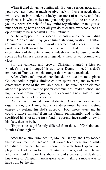When it died down, he continued, "But on a serious note, all of you have sacrificed so much to give back to those in need, those who were not born under the lucky star most of us were, and that, my friends, is what makes me genuinely proud to be able to call you my peers. On behalf of my entire organization, thank you so much for being here and for all you do to ensure everybody has an opportunity to be successful in this lifetime."

As he wrapped up his speech the entire audience, including Danny, Monica, and Troy, gave him a standing ovation. Christian Cunningham was one of the most respected and successful movie producers Hollywood had ever seen. He had exceeded the expectations of the entertainment industry when he burst onto the scene as his father's career as a legendary director was coming to a close.

For the cameras and crowd, Christian planted a kiss on Monica's lips and hugged his two sons. Danny noticed his dad's embrace of Troy was much stronger than what he received.

After Christian's speech concluded, the auction took place. Goldendoodle puppies, limited-edition sports cars, and even real estate were some of the available items. The organization claimed all of the proceeds went to poorer communities' middle school and high school drama programs, but everyone knew salaries and appearance fees took precedence.

Danny once envied how dedicated Christian was to his organization, but Danny had since determined he was wasting energy by seeking his dad's approval. Four more years and he could distance himself from his family permanently, and if that sacrificed his shot at the trust fund his parents incessantly threw in his face, then so be it.

His priorities significantly differed from those of Christian and Monica Cunningham.

After the auction wrapped up, Monica, Danny, and Troy loaded themselves into the Escalade that would take them home while Christian exchanged farewell pleasantries with Tom Caplan. Tom played the lead role in four of Christian's movies, and even Danny, who now couldn't care less about his dad's professional dealings, knew one of Christian's main goals when making a movie was to have Tom be the star.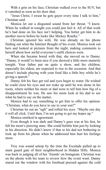With a grin on his face, Christian walked over to the SUV, but it vanished as soon as his door shut.

"Jesus Christ, I swear he gets gayer every time I talk to him," Christian said.

Monica let out a disgusted sound from her throat. "I know. When he walked in tonight you could just feel it. All of that work he's had done on his face isn't helping. You better get him to do another movie before he looks like Mickey Rourke."

Christian ignored his wife. He was already on his phone finding out what the Internet thought of his event. Monica took out hers and looked at pictures from the night, making comments to herself about how awful everyone's outfit choices were.

When she became bored with that, she moved on to Danny. "Danny, it would've been nice if you showed a little more maturity tonight. Your father put on quite a show, and his children, especially his eldest, are expected to rise to the occasion. And that doesn't include playing with your food like a little boy while he's giving a speech."

Danny felt his face get red and eyes begin to water. He wished he could close his eyes and not wake up until he was alone in his room, where neither his mom or dad were to tell him how big of a disappointment he was. He saw his mom look at his dad to see what he had to say on the matter.

Monica had to say something to get him to offer his opinion. "Christian, what do you have to say to your son?"

Christian let out an "ugh" and rolled his eyes. "Maybe one day it will all click. Until then, I'm not going to get my hopes up."

Monica smirked in agreement.

Even though it was dark and Danny's gaze was at his feet, he felt his mom's piercing stare. She could belittle him just by looking in his direction. He didn't know if that or his dad not bothering to look up from his phone when he addressed him hurt his feelings more.

Troy was sound asleep by the time the Escalade pulled up to main guard gate of their neighborhood in Hidden Hills. Monica was back to judging all of her 'friends' on Instagram. Christian was on the phone with his team to review how the event went. Danny stared out the window with his forehead pressed against the cold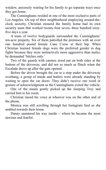window, anxiously waiting for his family to go separate ways once they got home.

The Cunninghams resided in one of the most exclusive parts of Los Angeles. On top of their neighborhood employing around-theclock security, Christian ensured the family home had its own security team that worked twenty-four seven, three hundred sixtyfive days a year.

A team of twelve bodyguards surrounded the Cunninghams' ten-acre property. Six of them patrolled the premises with an over one hundred pound female Cane Corso at their hip. When Christian learned female dogs were the preferred gender in dog fights because they were instinctively more aggressive than males, he demanded 'bitches only.'

Two of the guards with canines stood pat on both sides at the bottom of the driveway, and did not so much as flinch when the Escalade drove up after the gate opened.

Before the driver brought the car to a stop under the driveway overhang, a group of maids and butlers were already standing by waiting to open the car doors. They didn't receive one word or gesture of acknowledgment as the Cunninghams exited the vehicle.

One of the maids gently picked up the sleeping Troy and carried him to his room.

Christian raised his voice at whoever was on the other end of the phone.

Monica was still scrolling through her Instagram feed as she ambled towards their home.

Danny sauntered his way inside— where he became the most anxious and fearful.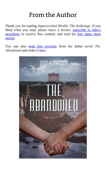## <span id="page-8-0"></span>From the Author

Thank you for reading *Impoverished Wealth: The Anthology*. If you liked what you read, please leave a review, subscribe to Jake's [newsletter](https://jakecavanah.aweb.page/p/c3c3a239-9ed5-4e0f-9f57-d181752b2178) to receive free content, and read his [free super short](https://jakecavanah.com/freesupershortstories/) [stories](https://jakecavanah.com/freesupershortstories/).

You can also [read free excerpts](https://jakecavanah.com/the-abandoned/) from his debut novel *The Abandoned* and order it [here](https://www.amazon.com/gp/product/1735664898/ref=dbs_a_def_rwt_bibl_vppi_i4).